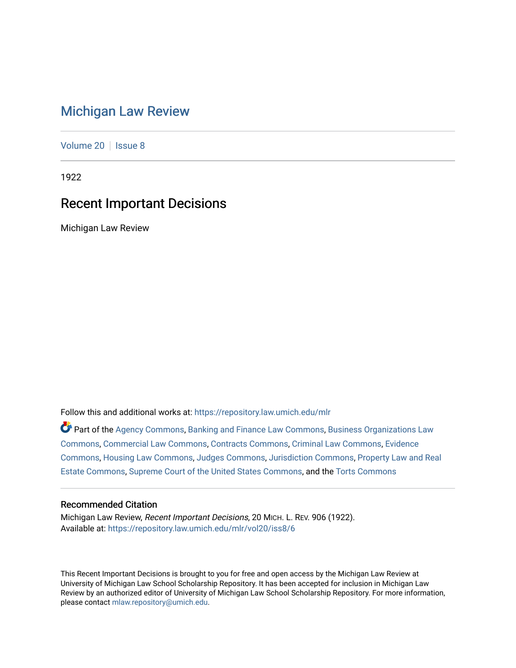# [Michigan Law Review](https://repository.law.umich.edu/mlr)

[Volume 20](https://repository.law.umich.edu/mlr/vol20) | [Issue 8](https://repository.law.umich.edu/mlr/vol20/iss8)

1922

## Recent Important Decisions

Michigan Law Review

Follow this and additional works at: [https://repository.law.umich.edu/mlr](https://repository.law.umich.edu/mlr?utm_source=repository.law.umich.edu%2Fmlr%2Fvol20%2Fiss8%2F6&utm_medium=PDF&utm_campaign=PDFCoverPages) 

Part of the [Agency Commons,](http://network.bepress.com/hgg/discipline/829?utm_source=repository.law.umich.edu%2Fmlr%2Fvol20%2Fiss8%2F6&utm_medium=PDF&utm_campaign=PDFCoverPages) [Banking and Finance Law Commons,](http://network.bepress.com/hgg/discipline/833?utm_source=repository.law.umich.edu%2Fmlr%2Fvol20%2Fiss8%2F6&utm_medium=PDF&utm_campaign=PDFCoverPages) [Business Organizations Law](http://network.bepress.com/hgg/discipline/900?utm_source=repository.law.umich.edu%2Fmlr%2Fvol20%2Fiss8%2F6&utm_medium=PDF&utm_campaign=PDFCoverPages)  [Commons](http://network.bepress.com/hgg/discipline/900?utm_source=repository.law.umich.edu%2Fmlr%2Fvol20%2Fiss8%2F6&utm_medium=PDF&utm_campaign=PDFCoverPages), [Commercial Law Commons,](http://network.bepress.com/hgg/discipline/586?utm_source=repository.law.umich.edu%2Fmlr%2Fvol20%2Fiss8%2F6&utm_medium=PDF&utm_campaign=PDFCoverPages) [Contracts Commons](http://network.bepress.com/hgg/discipline/591?utm_source=repository.law.umich.edu%2Fmlr%2Fvol20%2Fiss8%2F6&utm_medium=PDF&utm_campaign=PDFCoverPages), [Criminal Law Commons,](http://network.bepress.com/hgg/discipline/912?utm_source=repository.law.umich.edu%2Fmlr%2Fvol20%2Fiss8%2F6&utm_medium=PDF&utm_campaign=PDFCoverPages) [Evidence](http://network.bepress.com/hgg/discipline/601?utm_source=repository.law.umich.edu%2Fmlr%2Fvol20%2Fiss8%2F6&utm_medium=PDF&utm_campaign=PDFCoverPages) [Commons](http://network.bepress.com/hgg/discipline/601?utm_source=repository.law.umich.edu%2Fmlr%2Fvol20%2Fiss8%2F6&utm_medium=PDF&utm_campaign=PDFCoverPages), [Housing Law Commons](http://network.bepress.com/hgg/discipline/846?utm_source=repository.law.umich.edu%2Fmlr%2Fvol20%2Fiss8%2F6&utm_medium=PDF&utm_campaign=PDFCoverPages), [Judges Commons,](http://network.bepress.com/hgg/discipline/849?utm_source=repository.law.umich.edu%2Fmlr%2Fvol20%2Fiss8%2F6&utm_medium=PDF&utm_campaign=PDFCoverPages) [Jurisdiction Commons](http://network.bepress.com/hgg/discipline/850?utm_source=repository.law.umich.edu%2Fmlr%2Fvol20%2Fiss8%2F6&utm_medium=PDF&utm_campaign=PDFCoverPages), [Property Law and Real](http://network.bepress.com/hgg/discipline/897?utm_source=repository.law.umich.edu%2Fmlr%2Fvol20%2Fiss8%2F6&utm_medium=PDF&utm_campaign=PDFCoverPages)  [Estate Commons,](http://network.bepress.com/hgg/discipline/897?utm_source=repository.law.umich.edu%2Fmlr%2Fvol20%2Fiss8%2F6&utm_medium=PDF&utm_campaign=PDFCoverPages) [Supreme Court of the United States Commons,](http://network.bepress.com/hgg/discipline/1350?utm_source=repository.law.umich.edu%2Fmlr%2Fvol20%2Fiss8%2F6&utm_medium=PDF&utm_campaign=PDFCoverPages) and the [Torts Commons](http://network.bepress.com/hgg/discipline/913?utm_source=repository.law.umich.edu%2Fmlr%2Fvol20%2Fiss8%2F6&utm_medium=PDF&utm_campaign=PDFCoverPages) 

### Recommended Citation

Michigan Law Review, Recent Important Decisions, 20 MICH. L. REV. 906 (1922). Available at: [https://repository.law.umich.edu/mlr/vol20/iss8/6](https://repository.law.umich.edu/mlr/vol20/iss8/6?utm_source=repository.law.umich.edu%2Fmlr%2Fvol20%2Fiss8%2F6&utm_medium=PDF&utm_campaign=PDFCoverPages)

This Recent Important Decisions is brought to you for free and open access by the Michigan Law Review at University of Michigan Law School Scholarship Repository. It has been accepted for inclusion in Michigan Law Review by an authorized editor of University of Michigan Law School Scholarship Repository. For more information, please contact [mlaw.repository@umich.edu.](mailto:mlaw.repository@umich.edu)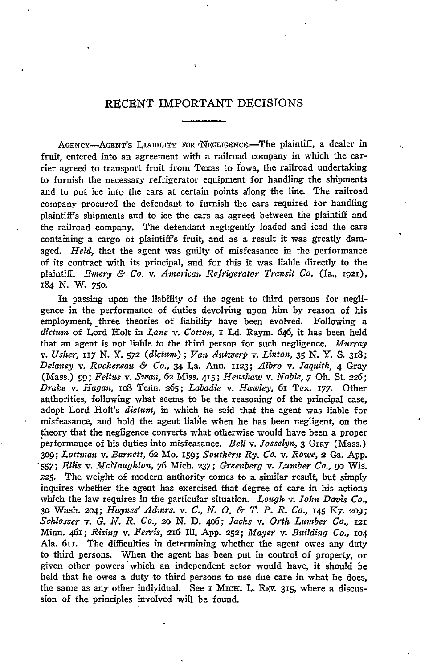### RECENT IMPORTANT DECISIONS

AGENCY-AGENT'S LIABILITY FOR NEGLIGENCE.-The plaintiff, a dealer in fruit, entered into an agreement with a railroad company in which the carrier agreed to transport fruit from Texas to Iowa, the railroad undertaking to furnish the necessary refrigerator equipment for handling the shipments and to put ice into the cars at certain points a'long the line The railroad company procured the defendant to furnish the cars required for handling plaintiff's shipments and to ice the cars as agreed between the plaintiff and the railroad company. The defendant negligently loaded and iced the cars containing a cargo of plaintiff's fruit, and as a result it was greatly damaged. *Held,* that the agent was guilty of misfeasance in the performance of its contract with its principal, and for this it was liable directly to the plaintiff. *Emery* & *Co.* v. *American Refrigerator Transit Co.* (Ia., 1921), 184 N. W. 750.

In passing upon the liability of the agent to third persons for negligence in the performance of duties devolving upon him by reason of his employment, three theories of liability have been evolved. Following a dictum of Lord Holt in *Lane v. Cotton*, I Ld. Raym. 646, it has been held that an agent is not liable to the third person for such negligence. *M11rray*  v. *Usher,* II7 N. Y. 572 (dictun~); *Van A1itwerf?* v. *Linton,* 35 N. Y. S. 318; *Delaney* v. *Rocher.eau* & *Co.,* 34 La. Ann. II23; *Albro* v. *Jaquith,* 4 Gray (Mass.) 99; *Feltits* v. *Swan,* 62 Miss. 415; *Henshaw* v. *Noble, 7* Oh. St. 226; *Drake* v. *Hagan,* 108 T'erin. 265; *Labadie v. Hawley,* 61 Tex. 177· Other authorities, following what seems to be the reasoning of the principal case, adopt Lord Holt's *dictuni,* in which he said that the agent was liable for misfeasance, and hold the agent liable when he has been negligent, on the theory that the negligence converts what otherwise would have been a proper performance of his duties into misfeasance. *Bell* v. *Josselyn,* 3 Gray (Mass.) 309; *Lottman* v. *Barnett,* 62 Mo. 159; *Southern Ry. Co.* v. *Rowe,* 2 Ga. App. ·557; *Ellis* v. *McNaughto1i, 76* Mich. 237; *Greenberg* v. *Liimber Co.,* 90 Wis. 225. The weight of modern authority comes to a similar resu1t, but simply inquires whether the agent has exercised that degree of care in his actions which the law requires in the particular situation. *Lough v. John Davis Co.*, 30 Wash. 204; *Haynes' Admrs.* v. *C., N.* 0. & *T. P. R. Co.,* 145 Ky. 209; *Schlosser* v. *G. N. R. Co.,* 20 N. D. 406; *Jacks·* v. *Orth Lumber Co.,* 121 Minn. 46I; *Risfog* v. *Ferris,* 216 Ill. App. 252; *Mayer v. Building Co.,* 104 Ala. 611. The difficulties in determining whether the agent owes any duty to third persons. When the agent has been put in control of property, or given other powers ·which an independent actor would have, it should be held that he owes a duty to third persons to use due care in what he does, the same as any other individual. See I MICH. L. REV. 315, where a discussion of the principles involved will be found.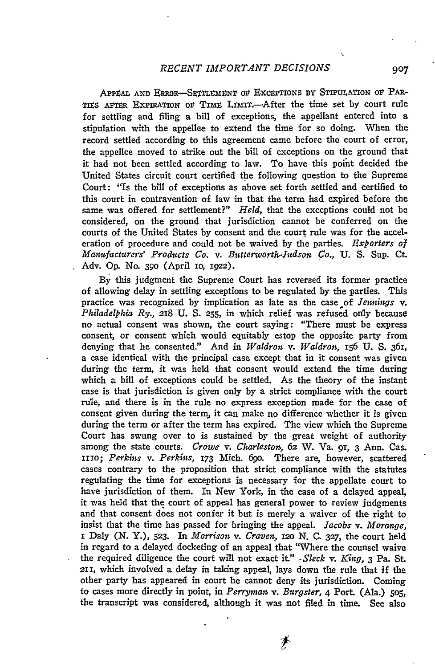APPEAL AND ERROR-SETTLEMENT OF EXCEPTIONS BY STIPULATION OF PAR-TIES AFTER EXPIRATION OF TIME LIMIT.-After the time set by court rule for settling and filing a bill of exceptions, the appellant entered into a stipulation with the appellee to extend the time for so doing. When the record settled according to this agreement came before the court of error, the appellee moved to strike out the bill of exceptions on the ground that it had not been settled according to law. To have this point decided the United States circuit court certified the following question to the Supreme Court: "Is the bi'll of exceptions as above set forth settled and certified to this court in contravention of law in that the term had expired before the same was offered for settlement?" *Held,* that the exceptions could not be considered, on the ground that jurisdiction cannot be conferred on the courts of the United States by consent and the court rule was for the acceleration of procedure and could not be waived by the parties. *Exporters of Manufacturers' Products Co.* v. *Butterwort!z,.Judson Co.,* U. S. Sup. Ct. Adv. Op. No. 390 (April 10, 1922).

By this judgment the Supreme Court has reversed its former practice of allowing delay in settling exceptions to be regulated by the parties. This practice was recognized by implication as late as the case of *Jennings v*. Philadelphia Ry., 218 U. S. 255, in which relief was refused only because no actual consent was shown, the court saying: "There must be express consent, or consent which would equitably estop the opposite party from denying that he consented." And in *Waldron v. Waldron*, 156 U. S. 361, a case identical with the principal case except that in it consent was given during the term, it was held that consent would extend the time during which a bill of exceptions could be settled. As the theory of the instant case is that jurisdiction is given only by a strict compliance with the court ru1e, and there is in the rule no express exception made for the case of consent given during the term, it can make no difference whether it is given during the term or after the term has expired. The view which the Supreme Court has swung over to is sustained by the great weight of authority among the state courts. *Crowe v. Charleston*, 62 W. Va. 91, 3 Ann. Cas. IIIO; *Perkfos* v. *Perkins,* 173 Mich. *6go.* There are, however, scattered cases contrary to the proposition that strict compliance with the statutes regulating the time for exceptions is necessary for the appellate court to have jurisdiction of them. In New York, in the case of a delayed appeal, it was held that the court of appeal has general power to review judgments and that consent does not confer it but is merely a waiver of the right to insist that the time has passed for bringing the appeal. *Jacobs* v. *Morange,*  1 Daly (N. Y.), 523. In *Morrison v. Craven*, 120 N. C. 327, the court held in regard to a delayed docketing of an appeal that "Where the counsel waive the required diligence the court wi'll not exact it" *-Sleek* v. *King,* 3 Pa. St. 2u, which involved a delay in taking appeal, lays down the rule that if the other party has appeared in court he cannot deny its jurisdiction. Coming to cases more directly in point, in *Perryman* v. *Burgster,* 4 Port (Ala.) 505, the transcript was considered, although it was not filed in time. See also

≸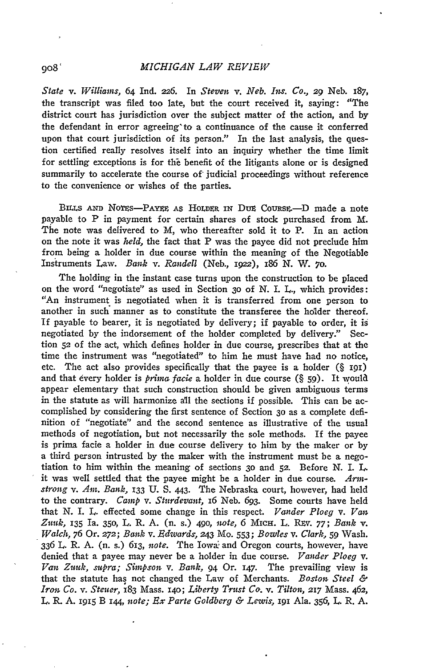#### 908' *MICHIGAN LAW REVIEW*

*State* v. *Williams,* 64 Ind. 226. In *Steven* v. *Neb. fas. Co., 29* Neb. 187, the transcript was filed too late, but the court received it, saying: "The district court has jurisdiction over the subject matter of the action, and by the defendant in error agreeing'to a continuance of the cause it conferred upon that court jurisdiction of its person." In the last analysis, the question certified real1y resolves itself into an inquiry whether the time limit for settling exceptions is for the benefit of the litigants alone or is designed summarily to accelerate the course of' judicial proceedings without reference to the convenience or wishes of the parties.

BILLS AND NOTES-PAYEE AS HOLDER IN DUE COURSE.- D made a note payable to P in payment for certain shares of stock purchased from M. The note was delivered to M, who thereafter sold it to P. In an action on the note it was *held,* the fact that P was the payee did not preclude him from being a holder in due course within the meaning of the Negotiable Instruments Law. *Bank v. Randell* (Neb., 1922), 186 N. W. 70.

The holding in the instant case turns upon the construction to be placed on the word "negotiate" as used in Section 30 of N. I. L., which provides: "An instrument is negotiated when it is transferred from one person to another in such manner as to constitute the transferee the holder thereof. If payable to bearer, it is negotiated by delivery; if payable to order, it is negotiated by the indorsement of the holder completed by delivery." Section 52 of the act, which defines holder in due course, prescribes that at the time the instrument was "negotiated" to him he must have had no notice, etc. The act also provides specifically that the payee is a holder (§ 191) and that every holder is *Prima facie* a holder in due course (§ 59). It would appear elementary that such construction should be given ambiguous terms in the statute as will harmonize a11 the sections if possible. This can be accomplished by considering the first sentence of Section 30 as a complete definition of "negotiate" and the second sentence as illustrative of the usual methods of negotiation, but not necessarily the sole methods. If the payee is prima facie a holder in due course delivery to him by the maker or by a third person intrusted by the maker with the instrument must be a negotiation to him within the meaning of sections 30 and *52.* Before N. I. L. it was well settled that the payee might be a holder in due course. *Armstrong* v. *Am. Bank,* 133 U. S. 443. The Nebraska court, however, had held to the contrary. *Camp* v. *Sturdevant,* 16 Neb. 693. Some courts have held that N. I. L. effected some change in this respect. *Va11der Ploeg* v. *Vaii Zimk,* 135 Ia. 350, L. R. A. (n. s.) 490, *note,* 6 MrcH. L. *R.Ev.* 77; *Bank* v. *Walch,* 76 Or. 272; *Bank* v. *Edwards,* 243 Mo. 553; *Bowles* v. *Clark, 59* Wash. -336 L. R. A. (n. s.) 6I3, *note.* The Iowi and Oregon courts, however, have denied that a payee may never be a holder in due course. *Vander Ploeg* v. *Van Zimk, supra; Simpso1i* v. *Bank,* 94 Or. 147. The prevailing view is that the statute has not changed the Law of Merchants. *Bost01i Steel* & *Ir01i Co.* v. *Steuer,* I83 Mass. 140; *Liberty Tmst Co-.* v. *Tilton,* 217 Mass. 462, L. R. A. 1915 B 144, *note; Ex Parte Goldberg* & *Lewis,* l9I Ala. 356, L. R. A.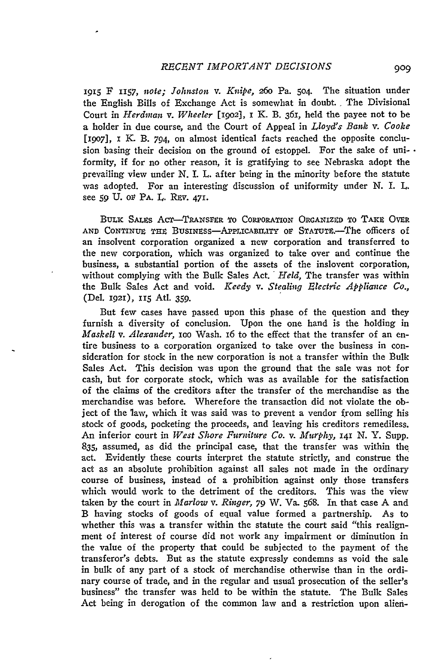1915 F II57, *note; Johnston* v. *Knipe,* 26o Pa. 504 The situation under the English Bills of Exchange Act is somewhat in doubt . The Divisional Court in *Herdman v. Wheeler* [1902], I K. B. 361, held the payee not to be a holder in due course, and the Court of Appeal in *Lloyd's Bank* v. *Cooke*  [1907], I K. B. 794, on almost identical facts reached the opposite conclusion basing their decision on the ground of estoppel. For the sake of uni- $\cdot$ formity, if for no other reason, it is gratifying to see Nebraska adopt the prevailing view under N. I. L. after being in the minority before the statute was adopted. For an interesting discussion of uniformity under N. I. L. see 50 U. OF PA. L. REV. 471.

BULK SALES ACT-TRANSFER TO CORPORATION ORGANIZED TO TAKE OVER AND CONTINUE THE BUSINESS-APPLICABILITY OF STATUTE. The officers of an insolvent corporation organized a new corporation and transferred to the new corporation, which was organized to take over and continue the business, a substantial portion of the assets of the inslovent corporation, without complying with the Bulk Sales Act. *Held*. The transfer was within the Bulk Sales Act and void. *Keedy* v. *Stealing Electric Appliance Co.,*  (Del. 1921), 115 Atl. 359.

But few cases have passed upon this phase of the question and they furnish a diversity of conclusion. Upon the one hand is the holding in *Maskell v. Alexander*, 100 Wash, 16 to the effect that the transfer of an entire business to a corporation organized to take over the business in consideration for stock in the new corporation is not a transfer within the Bulk Sales Act. This decision was upon the ground that the sale was not for cash, but for corporate stock, which was as available for the satisfaction of the claims of the creditors after the transfer of the merchandise as the merchandise was before. Wherefore the transaction did not violate the object of the law, which it was said was to prevent a vendor from selling his stock of goods, pocketing the proceeds, and leaving his creditors remediless. An inferior court in *West Shore Furniture Co. v. Murphy*, 141 N. Y. Supp. 835, assumed, as did the principal case, that the transfer was within the act. Evidently these courts interpret the statute strictly, and construe the act as an absolute prohibition against all sales not made in the ordinary course of business, instead of a prohibition against only those transfers which would work to the detriment of the creditors. This was the view taken by the court in *Marlow* v. *Ringer, 79* W. Va. 568. In that case A and B having stocks of goods of equal value formed a partnership. As to whether this was a transfer within the statute the court said "this realignment of interest of course did not work any impairment or diminution in the value of the property that could be subjected to the payment of the transferor's debts. But as the statute expressly condemns as void the sale in bulk of any part of a stock of merchandise otherwise than in the ordinary course of trade, and in the regular and usua'l prosecution of the seller's business" the transfer was held to be within the statute. The Bulk Sales Act being in derogation of the common law and a restriction upon alien-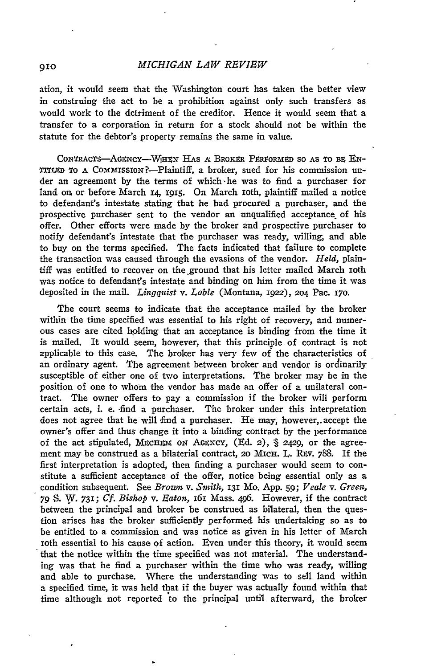#### 9IO *MICHIGAN LAW REVIEW*

ation, it would seem that the Washington court has taken the better view in construing the act to be a prohibition against only such transfers as would work to the detriment of the creditor. Hence it would seem that a transfer to a corporation in return for a stock should not be within the statute for the debtor's property remains the same in value.

CONTRACTS-AGENCY-WHEN HAS A BROKER PERFORMED SO AS TO BE EN-'tI'tLED TO A CoMMISSION?-Plaintiff, a broker, sued for his commission under an agreement by the terms of which- he was to find a purchaser for land on or before March I4, 19r5. On March roth, plaintiff mai1ed a notice to defendant's intestate stating that he had procured a purchaser, and the prospective purchaser sent to the vendor an unqualified acceptance. of his offer. Other efforts were made by the broker and prospective purchaser to notify defendant's intestate that the purchaser was ready, willing, and able to buy on the terms specified. The facts indicated that failure to complete the transaction was caused through the evasions of the vendor. *Held,* plaintiff was entitled to recover on the ground that his letter mailed March roth was notice to defendant's intestate and binding on him from the time it was deposited in the mail. *Lingquist* v. *Loble* (Montana, 1922), 204 Pac. r70.

The court seems to indicate that the acceptance mailed by the broker within the time specified was essential to his right of recovery, and numerous cases are cited hplding that an acceptance is binding from the time it is mailed. It would seem, however, that this principle of contract is not applicable to this case. The broker has very few of° the characteristics of an ordinary agent. The agreement between broker and vendor is ordinarily susceptible of either one of two interpretations. The broker may be in the position 0£ one to whom the vendor has made an offer of a unilateral contract. The owner offers to pay a commission if the broker will perform certain acts, i. e. find a purchaser. The broker under this interpretation does not agree that he will find a purchaser. He may, however, accept the owner's offer and thus change it into a binding contract by the performance of the act stipulated, MECHEM ON AGENCY, (Ed. 2), § 2429, or the agreement may be construed as a bilaterial contract, 20 MICH. L. REV. 788. If the first interpretation is adopted, then finding a purchaser would seem to constitute a sufficient acceptance of the offer, notice being essential only as a condition subsequent. See *Brown* v. *Smith,* 13r Mo. App. 59; *Veale* v. *Green,*  - *79* S. W. 73r; *Cf. Bishop* v. *Eaton,* 16r Mass. 4g6. However, if the contract between the principal and broker be construed as bilateral, then the question arises has the broker sufficiently performed his undertaking so as to be entitled to a commission and was notice as given in his letter of March roth essential to his cause of action. Even under this theory, it would seem that the notice within the time specified was not material. The understanding was that he find a purchaser within the time who was ready, willing and able to purchase. Where the understanding was to sell land within a specified time, it was held that if the buyer was actually found within that time although not reported 'to the principal unti1 afterward, the broker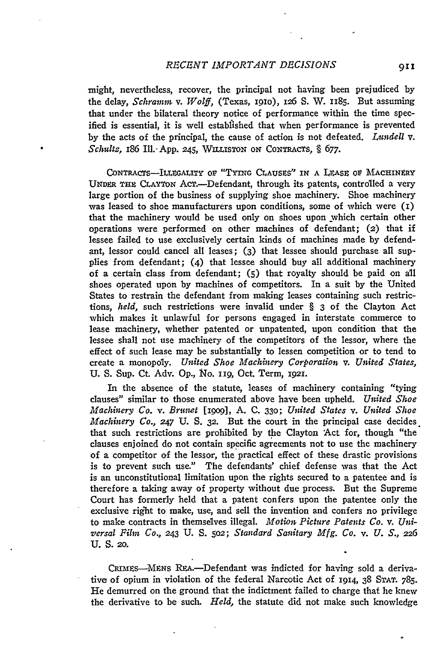might, nevertheless, recover, the principal not having been prejudiced by the delay, Schramm v. Wolff, (Texas, 1910), 126 S. W. 1185. But assuming that under the bilateral theory notice of performance within the time specified is essential, it is well estabiished that when performance is prevented by the acts of the principal, the cause of action is not defeated. *Lundell* v. *Schultz, 186 Ill. App. 245, WILLISTON ON CONTRACTS, § 677.* 

CONTRACTS--ILLEGALITY OF "TYING CLAUSES" IN A LEASE OF MACHINERY UNDER THE CLAYTON ACT.—Defendant, through its patents, controlled a very large portion of the business of supplying shoe machinery. Shoe machinery was leased to shoe manufacturers upon conditions, some of which were (I) that the machinery would be used only on shoes upon \_which certain other operations were performed on other machines of defendant; (2) that if lessee failed to use exclusively certain kinds of machines made by defendant, lessor could cancel all leases; (3) that lessee should purchase all supplies from defendant; (4) that lessee should buy all additional machinery of a certain class from defendant; (5) that royalty should be paid on a11 shoes operated upon by machines of competitors. In a suit by the United States to restrain the defendant from making leases containing such restrictions, *held,* such restrictions were invalid under § 3 of the Clayton Act which makes it unlawful for persons engaged in interstate commerce to lease machinery, whether patented or unpatented, upon condition that the lessee shall not use machinery of the competitors of the lessor, where the effect of such lease may be substantially to lessen competition or to tend to create a monopo1y. *United Shoe Machinery Corporation* v. *United States,*  U. S. Sup. Ct. Adv. Op., No. 110, Oct. Term, 1921.

In the absence of the statute, leases of machinery containing "tying clauses" similar to those enumerated above have been upheld. *United Shoe Machinery Co.* v. *Brmiet* [I909], A. C. 330; *United States* v. *United Shoe Machinery Co., 247 U. S. 32. But the court in the principal case decides* that such restrictions are prohibited by the Clayton Act for, though "the clauses enjoined do not contain specific agreements not to use the machinery of a competitor of the lessor, the practical effect of these drastic provisions is to prevent such use." The defendants' chief defense was that the Act is an unconstitutional limitation upon the rights secured to a patentee and is therefore a taking away of property without due process. But the Supreme Court has formerly held that a patent confers upon the patentee only the exclusive right to make, use, and sell the invention and confers no privilege to make contracts in themselves illegal. Motion Picture Patents Co. v. Uni*versal Film Co.,* 243 U. S. 502; *Standard Sa11itary Mfg. Co.* v. *U. S.,* 226 u. s. 20.

CRIMES-MENS REA-Defendant was indicted for having sold a derivative of opium in violation of the federal Narcotic Act of I9I4, 38 STAT. 785. He demurred on the ground that the indictment failed to charge that he knew the derivative to be such. *Held,* the statute did not make such knowledge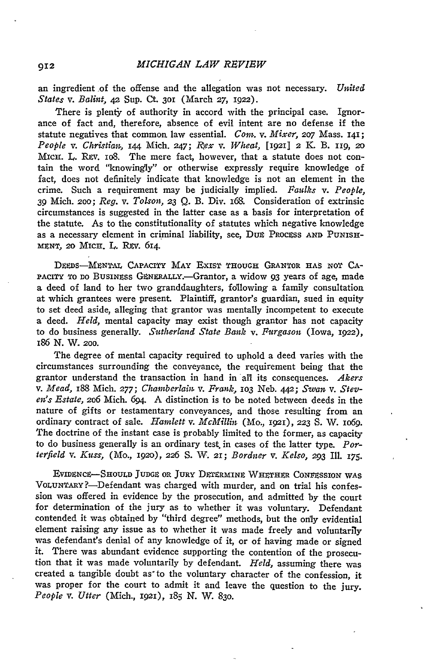an ingredient of the offense and the allegation was not necessary. *United States* v. *Balint,* 42 Sup. Ct. 3or (March 27, 1922).

There is plenty of authority in accord with the principal case. Ignorance of fact and, therefore, absence of evil intent are no defense if the statute negatives that common law essential. *Com. v. Mixer, 207* Mass.  $141$ ; *People v. Christian, 144 Mich. 247; Rex v. Wheat, [1921] 2 K. B. 119, 20* MICH. L. REV. 108. The mere fact, however, that a statute does not contain the word "knowing'ly" or otherwise expressly require knowledge of fact, does not definitely indicate that knowledge is not an element in the crime. Such a requirement may be judicially implied. *Faiilks* v. *People,*  39 Mich. 200; *Reg.* v. *Tolson,* 23 Q. B. Div. I68. Consideration of extrinsic circumstances is suggested in the latter case as a basis for interpretation of the statute. As to the constitutionality of statutes which negative knowledge as a necessary element in criminal liability, see, DUE PROCESS AND PUNISH-MENT, 20 MICH. L. REV. 614.

DEEDS-MENTAL CAPACITY MAY EXIST THOUGH GRANTOR HAS NOT CA-PACITY TO DO BUSINESS GENERALLY.-Grantor, a widow 93 years of age, made a deed of land to her two granddaughters, fo11owing a family consultation at which grantees were present. Plaintiff, grantor's guardian, sued in equity to set deed aside, alleging that grantor was mentally incompetent to execute a deed. *Held,* mental capacity may exist though grantor has not capacity to do business generally. *S1ttherland State Bank* v. *Fiergason* (Iowa, I922), I86 N. W. 200.

The degree of mental capacity required to uphold a deed varies with the circumstances surrounding the conveyance, the requirement being that the grantor understand the transaction in hand in all its consequences. Akers v. *Mead,* 188 Mich. 277; Chamberlain v. Frank, 103 Neb. 442; Swan v. Stev*en's Estate, 2o6* Mich. 694. A distinction is to be noted between deeds in the nature of gifts or testamentary conveyances, and those resulting from an ordinary contract of sale. *Hamlett v. McMillin* (Mo., 1921), 223 S. W. 1069. The doctrine of the instant case is probably limited to the former, as capacity to do business generally is an ordinary test. in cases of the latter type. *Porterfield* v. *K11ss,* (Mo., I920), *226* S. W. 2I; *Bordner* v. *Kelso,* 293 Ill. I75·

EVIDENCE-SHOULD JUDGE OR JURY DETERMINE WHETHER CONFESSION WAS VOLUNTARY?-Defendant was charged with murder, and on trial his confession was offered in evidence by the prosecution, and admitted by the court for determination of the jury as to whether it was voluntary. Defendant contended it was obtained by "third degree" methods, but the on'ly evidential element raising any issue as to whether it was made freely and voluntarily was defendant's denial of any knowledge of it, or of having made or signed it. There was abundant evidence supporting the contention of the prosecution that it was made voluntarily by defendant. *Held,* assuming there was created a tangible doubt as'to the voluntary character of the confession, it was proper for the court to admit it and leave the question to the jury. *People* v. *Utter* (Mich., I92I), I85 N. W. 830.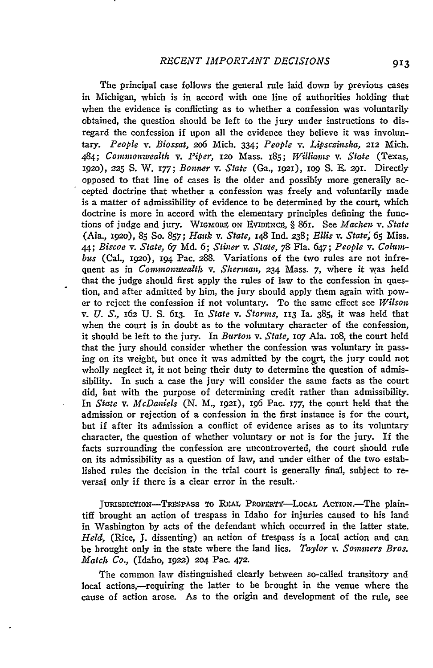The principal case follows the general rule laid down by previous cases in Michigan, which is in accord with one line of authorities holding that when the evidence is conflicting as to whether a confession was voluntarily obtained, the question should be left to the jury under instructions to disregard the confession if upon all the evidence they believe it was involuntary. *People* v. *Biossat,* 2o6 Mich. 334; *People* v. *Lipsczinska,* 212 Mich. 484; *Commo11wealth* v. *Piper,* 120 Mass. 185; *Williams* v. *State* (Texas, 1920), 225 S. W. 177; *Bonner v. State* (Ga., 1921), 109 S. E. 291. Directly opposed to that line of cases is the older and possibly more generally accepted doctrine that whether a confession was freely and voluntarily made is a matter of admissibility of evidence to be determined by the court, which doctrine is more in accord with the elementary principles defining the functions of judge and jury. WlGMORS ON EVIDENCE, § 86r. See *Maclien* v. *State*  (Ala., 1920), 85 So. 857; *Hauk* v. *State,* 148 Ind. 238; *Ellis v. State;* 65 Miss. 44; *Biscoe* v. *State,* 67 Md. 6; *Stiner* v. *State,* 78 Fla. 647; *People* v. *Colum*bus (Cal., 1920), 194 Pac. 288. Variations of the two rules are not infrequent as in *Commonwealth v. Sherman*, 234 Mass. 7, where it was held that the judge should first apply the rules of law to the confession in question, and after admitted by him, the jury should apply them again with power to reject the confession if not voluntary. To the same effect see *Wilsou v.* U. *S.,* 162 U. S. 613. In *State* v. *Storms,* n3 Ia. 385, it was held that when the court is in doubt as to the voluntary character of the confession, it should be left to the jury. In *Burton* **v.** *State*, 107 Ala. 108, the court held that the jury should consider whether the confession was voluntary in passing on its weight, but once it was admitted by the court, the jury could not wholly neglect it, it not being their duty to determine the question of admissibility. In such a case the jury will consider the same facts as the court did, but with the purpose of determining credit rather than admissibility. In *State* v. *McDaniels* (N. M., 1921), 196 Pac. 177, the court held that the admission or rejection of a confession in the first instance is for the court, but if after its admission a conflict of evidence arises as to its voluntary character, the question of whether voluntary or not is for the jury. If the facts surrounding the confession are uncontroverted, the court should rule on its admissibility as a question of law, and under either of the two established rules the decision in the trial court is generally fina1, subject to reversal only if there is a clear error in the result.·

JURISDICTION-TRESPASS TO REAL PROPERTY-LOCAL ACTION.-The plaintiff brought an action of trespass in Idaho for injuries caused to his land in Washington by acts of the defendant which occurred in the latter state. *Held,* (Rice, J. dissenting) an action of trespass is a local action and can be brought only in the state where the land lies. *Taylor v. Sommers Bros. Match Co.,* (Idaho, 1922) 204 Pac. 472.

The common law distinguished clearly between so-called transitory and local actions,—requiring the latter to be brought in the venue where the cause of action arose. As to the origin and development of the rule, see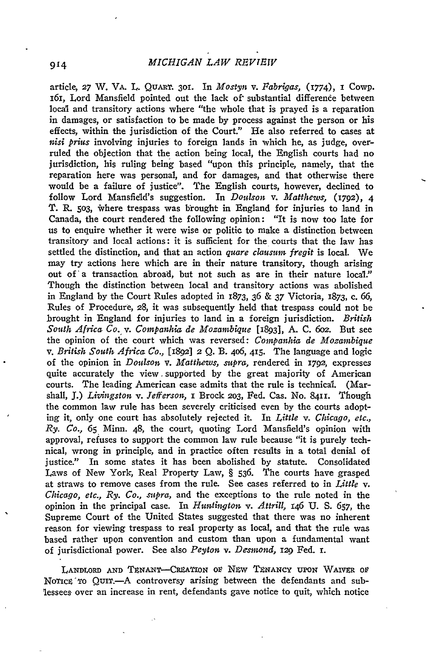article, *27* W. VA. L. QUART. 301. In *Mostyn* v. *Fabrigas,* (1774), 1 Cowp. 16r, Lord Mansfield pointed out the lack of· substantial difference between loca'l and transitory actions where "the whole that is prayed is a reparation in damages, or satisfaction to be made by process against the person or his effects, within the jurisdiction of the Court." He also referred to cases at *nisi prius* involving injuries to foreign lands in which he, as judge, overruled the objection that the action being local, the English courts had no jurisdiction, his ruling being based "upon this principle, namely, that the reparation here was personal, and for damages, and that otherwise there would be a failure of justice". The English courts, however, declined to follow Lord Mansfie'ld's suggestion. In *Doulson* v. *Matthews,* (1792), 4 T. R. 503, where trespass was brought in England for injuries to land in Canada, the court rendered the following opinion : "It is now too late for us to enquire whether it were wise or politic to make a distinction between transitory and local actions: it is sufficient for the courts that the law has settled the distinction, and that an action *quare clatesm1i fregit* is local. We may try actions here which are in their nature transitory, though arising out of a transaction abroad, but not such as are in their nature local." Though the distinction between local and transitory actions was abolished in England by the Court Rules adopted in 1873, 36 & *37* Victoria, 1873, c. 66, Rules of Procedure, 28, it was subsequently held that trespass could not be brought in England for injuries to land in a foreign jurisdiction. *British South Africa Co.* v. *Companhia de Mozambiq11e* [1893], A. C. 002. But see the opinion of the court which was reversed: *Companhia de Mozambique*  v. *British South Africa Co.*, [1892] 2 Q. B. 406, 415. The language and logic of the opinion in *Doulson v. Matthews, supra,* rendered in 1792, expresses quite accurately the view. supported by the great majority of American courts. The leading American case admits that the rule is technica1. (Marshall, J.) *Livingston* v. *Jefferson,* 1 Brock 203, Fed. Cas. No. 84n. Though the common law rule has been severely criticised even by the courts adopting it, only one court has absolutely rejected it. In *Little* v. *Chicago, etc., Ry. Co.,* 65 Minn. 48, the court, quoting Lord Mansfield's opinion with approval, refuses to support the common law rule because "it is purely technical, wrong in principle, and in practice often resu'lts in a total denial of justice." In some states it has been abolished by statute. Consolidated Laws of New York, Real Property Law, § 536. The courts have grasped at straws to remove cases from the rule. See cases referred to in *Little* v. *Chicago, etc., Ry. Co., supra,* and the exceptions to the rule noted in the opinion in the principal case. In *Huntington v. Attrill,* 146 U. S. 657, the Supreme Court of the United States suggested that there was no inherent reason for viewing trespass to real property as local, and that the rule was based rather upon convention and custom than upon a fundamental want of jurisdictional power. See also *Peyton* v. *Desmond,* 129 Fed. 1.

LANDLORD AND TENANT-CREATION OF NEW TENANCY UPON WAIVER OF Norice ro Quir.-A controversy arising between the defendants and sub-'lessees over an increase in rent, defendants gave notice to quit, which notice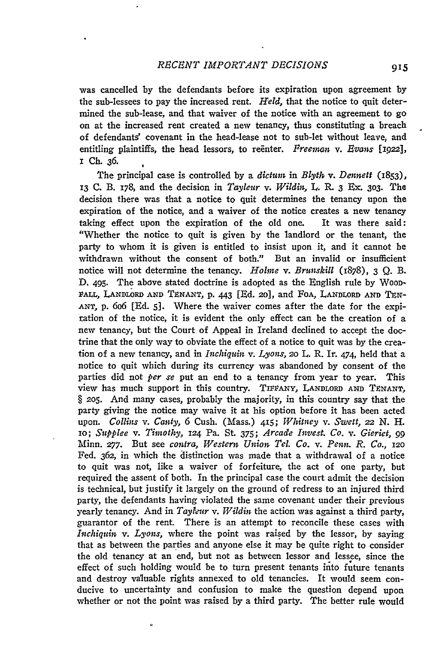was cancelled by the defendants before its expiration upon agreement by the sub-lessees to pay the increased rent. *Held,* that the notice to quit determined the sub-lease, and that waiver of the notice with an agreement to go on at the increased rent created a new tenancy, thus constituting a breach of defendants' covenant in the head-lease not to sub-let without leave, and entitling plaintiffs, the head lessors, to reenter. *Freeman* v. *Evans* [1922], l Ch. 36.

The principal case is controlled by a *dictum* in *Blyth* v. *Dennett* (1853), 13 C. B. 178, and the decision in *Taylettr* v. *Wildin,* L. R. 3 Ex. 303. The decision there was that a notice to quit determines the tenancy upon the expiration of the notice, and a waiver of the notice creates a new tenancy taking effect upon the expiration of the old one. It was there said: "Whether the notice to quit is given by the landlord or the tenant, the party to whom it is given is entitled to insist upon it, and it cannot be withdrawn without the consent of both." But an invalid or insufficient notice will not determine the tenancy. *Holme* v. *Bmnskill* (1878), 3 Q. B. D. 495. The above stated doctrine is adopted as the English rule by Woon. FALL, LANDLORD AND TENANT, p. 443 [Ed. 20], and FOA, LANDLORD AND TEN-ANT, p. 606 [Ed. 5]. Where the waiver comes after the date for the expitation of the notice, it is evident the only effect can be the creation of a new tenancy, but the Court of Appeal in Ireland declined to accept the doctrine that the only way to obviate the effect of a notice to quit was by the creation of a new tenancy, and in *I11chiq11in* v. *Lyons, 20* L. R. Ir. 474, held that a notice to quit which during its currency was abandoned by consent of the parties did not *per se* put an end to a tenancy from year to year. This view has much support in this country. TIFFANY, LANDLORD AND TENANT, § *205.* And many cases, probably the majority, in this country say that the party giving the notice may waive it at his option before it has been acted upon. *Collins* v. *Caiity,* 6 Cush. (Mass.) 415; *Whitney* v. *Swett, 22* N. H. ro; *Sitpplee* v. *Timothy,* 124 Pa. St. 375; *Arcade Invest. Co.* v. *Gieriet, 99*  Minn. 277. But see *contra, Western Union Tel. Co. v. Penn. R. Co.*, 120 Fed. 362, in which the distinction was made that a withdrawal of a notice to quit was not, like a waiver of forfeiture, the act of one party, but required the assent of both. In the principal case the court admit the decision is technical, but justify it largely on the ground of redress to an injured third party, the defendants having violated the same covenant under their previous yearly tenancy. And in *Tayleur v. Wildin* the action was against a third party, guarantor of the rent. There is an attempt to reconcile these cases with *Inchiquin v. Lyons,* where the point was raised by the lessor, by saying that as between the parties and anyone else it may be quite right to consider the old tenancy at an end, but not as between lessor and Jessee, since the effect of such holding would be to turn present tenants into future tenants and destroy va1uable rights annexed to old tenancies. It would seem conducive to uncertainty and confusion to make the question depend upon whether or not the point was raised by a third party. The better rule would

Ä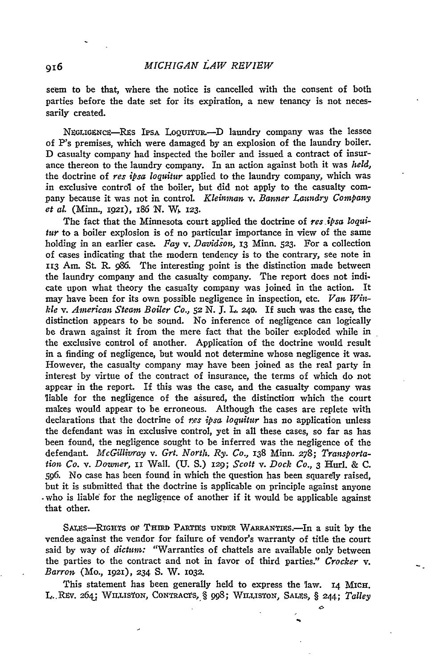seem to be that, where the notice is cancelled with the consent of both parties before the date set for its expiration, a new tenancy is not necessarily created.

NEGLIGENCE-RES IPSA LOQUITUR.-D laundry company was the lessee of P's premises, which were damaged by an explosion of the laundry boiler. D casualty company had inspected the boiler and issued a contract of insurance thereon to the laundry company. In an action against both it was *held,*  the doctrine of *res ipsa loquitur* applied to the laundry company, which was in exclusive contro1 of the boiler, but did not apply to the casualty company because it was not in control. *Kleinman* v. *Banner Laundry Company et al.* (Minn., 1921), 186 N. W. 123.

The fact that the Minnesota court applied the doctrine of *res. ipsa loquitiw* to a boiler explosion is of no particular importance in view of the same holding in an earlier case. *Fay v. Davidson*, 13 Minn. 523. For a collection of cases indicating that the modern tendency is to the contrary, see note in II3 Am. St R. g86. The interesting point is the distinction made between the laundry company and the casualty company. The report does not indi. cate upon what theory the casualty company was joined in the action. It may have been for its own possible negligence in inspection, etc. *Van Winkle* v. *American Steam Boiler Co.,* 52 N. J. L. 240. If such was the case, the distinction appears to be sound. No inference of negligence can logically be drawn against it from the mere fact that the boiler exploded while in the exclusive control of another. Application of the doctrine would result in a finding of negligence, but would not determine whose negligence it was. However, the casualty company may have been joined as the real party in interest by virtue of the contract of insurance, the terms of which do not appear in the report. If this was the case, and the casualty company was 1iable for the negligence of the assured, the distinction which the court makes would appear to be erroneous. Although the cases are replete with declarations that the doctrine of *r.es ipsa loquitur* has no application unless the defendant was in exclusive control, yet in all these cases, so far as has been found, the negligence sought to be inferred was the negligence of the defendant. *McGillivray* v. *Grt. North. Ry. Co.,* 138 Minn. 278; *Transportation Co.* v. *Downer,* II Wall. (U. S.) 129; *Scott* v. *Dock Co.,* 3 Hurl. & C. 596. No case has been found in which the question has been square1y raised, but it is submitted that the doctrine is applicable on principle against anyone . who is liable for the negligence of another if it would be applicable against that other.

SALES-RIGHTS OF THIRD PARTIES UNDER WARRANTIES.-In a suit by the vendee against the vendor for failure of vendor's warranty of title the court said by way of *dictum:* "Warranties of chattels are available only between the parties to the contract and not in favor of third parties." *Crocker* v. *Barro1i* (Mo., 1921), 234 S. W. 1032.

This statement has been generally held to express the 1aw. 14 MICH. L. REV. 264; WILLISTON, CONTRACTS, § 998; WILLISTON, SALES, § 244; Talley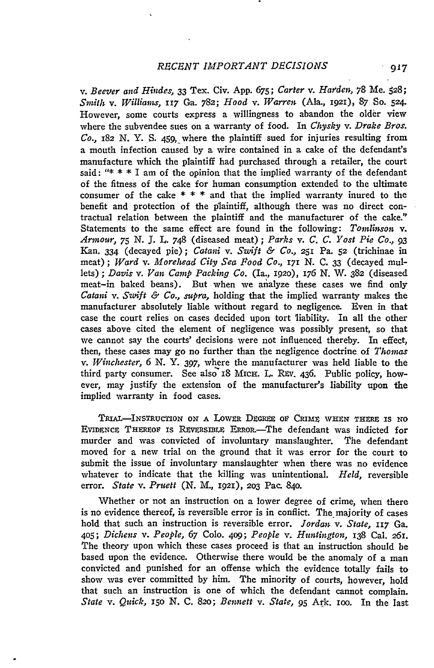v. *Beever and Hi11des,* 33 Tex. Civ. App. *675; Carter* v. *Harden,* 78 Me. S28; *Smith* v. *Williams,* II7 Ga. 782; *Hood* v. *Warreti* (Ala., 1921), 87 So. 524 However, some courts express a willingness to abandon the older view where the subvendee sues on a warranty of food. In *Chysky* v. *Drake Bras.*  Co., 182 N. Y. S. 459, where the plaintiff sued for injuries resulting from a mouth infection caused by a wire contained in a cake of the defendant's manufacture which the plaintiff had purchased through a retailer, the court said: " $* * I$  am of the opinion that the implied warranty of the defendant of the fitness of the cake for human consumption extended to the ultimate consumer of the cake  $* * *$  and that the implied warranty inured to the benefit and protection of the p1aintiff, although there was no direct contractual relation between the plaintiff and the manufacturer of the cake." Statements to the same effect are found in the following: *Tomlinson* v. *Armour, 75* N. J. L. 748 (diseased meat); *Parks* v. *C. C. Yost Pie Co., 93*  Kan. 334 (decayed pie); *Catani* v. *Swift* & *Co.,* 251 Pa. 52 (trichinae in meat); *Ward* v. *Morehead City Sea Food Co.,* 171 N. C. *33* (decayed mullets); *Davis* v. *Van Camp Packing Co.* (Ia., 1920), 176 N. W. 382 (diseased meat-in baked beans). But when we analyze these cases we find only *Catani* v. *Swift* & *Co., supra,* holding that the implied warranty makes the manufacturer absolutely liable without regard to negligence. Even in that case the court relies on cases decided upon tort 1iability. In all the other cases above cited the element of negligence was possibly present, so that we cannot say the courts' decisions were not influenced thereby. In effect, then, these cases may go no further than the negligence doctrine of *Thomas*  v. *Winchester,* 6 N. Y. *397,* where the manufacturer was held liable to the third party consumer. See also  $18$  MICH. L. REV. 436. Public policy, however, may justify the extension of the manufacturer's liability upon the implied warranty in food cases.

TRIAL-INSTRUCTION ON A LOWER DEGREE OF CRIME WHEN THERE IS NO EVIDENCE THEREOF IS REVERSIBLE ERROR. The defendant was indicted for murder and was convicted of involuntary manslaughter. The defendant moved for a new trial on the ground that it was error for the court to submit the issue of involuntary manslaughter when there was no evidence whatever to indicate that the killing was unintentional. *Held,* reversible error. *State* v. *Pruett* (N. M., 1921), 203 Pac. 840.

Whether or not an instruction on a lower degree of crime, when there is no evidence thereof, is reversible error is in conflict. The majority of cases hold that such an instruction is reversible error. *Jordan v. State*, 117 Ga. 405; *Diche11s* v. *Peaple, 67* Colo. 409; *People* v. *Hmitfagton,* I38 Cal. z6I. The theory upon which these cases proceed is that an instruction should be based upon the evidence. Otherwise there would be the anomaly of a man convicted and punished for an offense which the evidence totally fails to show was ever committed by him. The minority of courts, however, hold that such an instruction is one of which the defendant cannot complain. *State v. Quick, 150 N. C. 820; Bennett v. State, 95 Ark. 100. In the last* 

917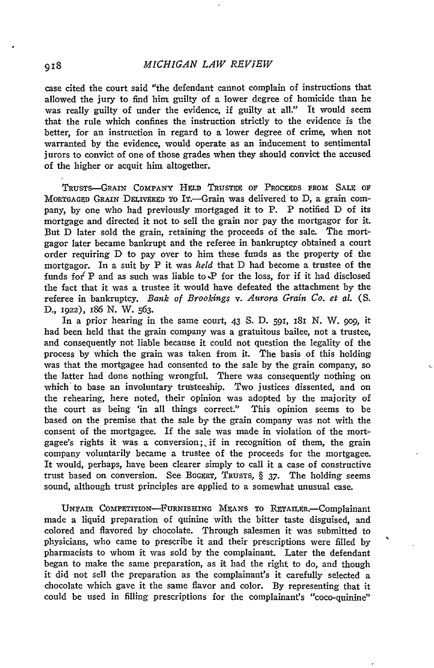case cited the court said "the defendant cannot complain of instructions that allowed the jury to find him; guilty of a lower degree of homicide than he was really guilty of under the evidence, if guilty at all." It would seem that the rule which confines the instruction strictly to the evidence is the better, for an instruction in regard to a lower degree of crime, when not warranted by the evidence, would operate as an inducement to sentimental jurors to convict of one of those grades when they should convict the accused of the higher or acquit him altogether.

TRUSTS-GRAIN COMPANY HELD TRUSTEE OF PROCEEDS FROM SALE OF MORTGAGED GRAIN DELIVERED TO IT.-Grain was delivered to D, a grain company, by one who had previously mortgaged it to P. P notified D of its mortgage and directed it not to sell the grain nor pay the mortgagor for it. But D later sold the grain, retaining the proceeds of the sale. The mortgagor later became bankrupt and the referee in bankruptcy obtained a court order requiring D to pay over to him these funds as the property of the mortgagor. In a suit by P it was *held* that D had become a trustee of the funds for P and as such was liable to P for the loss, for if it had disclosed the fact that it was a trustee it would have defeated the attachment by the referee in bankruptcy. *Bank of Brookings v. Aurora Grain Co. et al.* (S. D., 1922), 186 N. W. 563.

In a prior hearing in the same court, 43 S. D. 591, 181 N. W. 909, it had been held that the grain company was a gratuitous bailee, not a trustee, and consequently not liable because it could not question the legality of the process by which the grain was taken from it. The basis of this holding was that the mortgagee had consented to the sale by the grain company, so the latter had done nothing wrongful. There was consequently nothing on which to base an involuntary trusteeship. Two justices dissented, and on the rehearing, here noted, their opinion was adopted by the majority of the court as being 'in all things correct." This opinion seems to be based on the premise that the sale by the grain company was not with the consent of the mortgagee. If the sale was made in violation of the mortgagee's rights it was a conversion; if in recognition of them, the grain company voluntarily became a trustee of the proceeds for the mortgagee. It would, perhaps, have been clearer simply to call it a case of constructive trust based on conversion. See Boggar, Trusts,  $\S$  37. The holding seems sound, although trust principles are applied to a somewhat unusual case.

UNFAIR COMPETITION-FURNISHING MEANS TO RETAILER. Complainant made a liquid preparation of quinine with the bitter taste disguised, and colored and flavored by chocolate. Through salesmen it was submitted to physicians, who came to prescribe it and their prescriptions were filled by pharmacists to whom it was sold by the complainant. Later the defendant began to make the same preparation, as it had the right to do, and though it did not sell the preparation as the complainant's it carefully selected a chocolate which gave it the same flavor and color. By representing that it could be used in filling prescriptions for the complainant's "coco-quinine"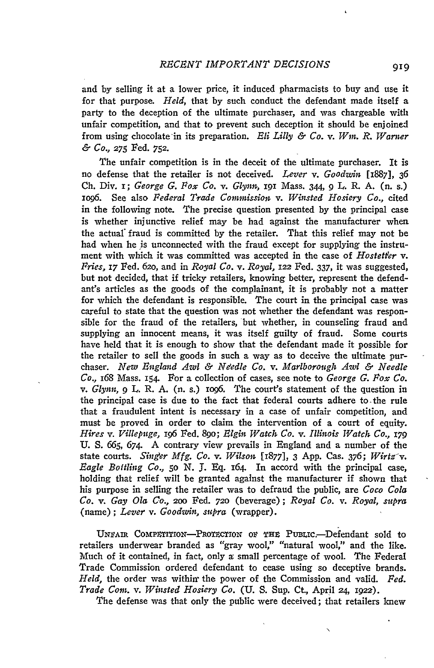and by selling it at a lower price, it induced pharmacists to buy and use it for that purpose. *Held,* that by such conduct the defendant made itself a party to the deception of the ultimate purchaser, and was chargeable with unfair competition, and that to prevent such deception it should be enjoined from using chocolate-in its preparation. *Eli Lilly* & *Co. v. Wm. R. TVarner*  & *Co., 275* Fed. *752.* 

The unfair competition is in the deceit of the ultimate purchaser. It is no defense that the retailer is not deceived. *Lever v. Goodwin* [1887], 36 Ch. Div. 1; *George G. Fox Co. v. Gly1111,* 191 Mass. 344 *9* L. R. A. (n. s.) 1096. See also Federal Trade Commission v. Winsted Hosiery Co., cited in the following note. The precise question presented by the principal case is whether injunctive relief may be had against the manufacturer when the actuaf fraud is committed by the retailer. That this relief may not be had when he is unconnected with the fraud except for supplying the instrument with which it was committed was accepted in the case of *Hostetter* **v**. *Fries,* 17 Fed. 620, and in *Royal Co. v. Royal,* 122 Fed. 337, it was suggested, but not decided, that if tricky retailers, knowing better, represent the defendant's articles as the goods of the complainant, it is probably not a matter for which the defendant is responsible. The court in the principal case was careful to state that the question was not whether the defendant was responsible for the fraud of the retailers, but whether, in counseling fraud and supplying an innocent means, it was itself guilty of fraud. Some courts have held that it is enough to show that the defendant made it possible for the retailer to sell the goods in such a way as to deceive the ultimate purchaser. *New England Awl* & *Needle Co. v. Marlborough Awl* & *Needle Co.,* 168 Mass. 154 For a collection of cases, see note to *George G. Fox Co. v. Glynn, 9* L. R. A. (n. s.) 1096. The court's statement of the question in the principal case is due to the fact that federal courts adhere to. the rule that a fraudulent intent is necessary in a case of unfair competition, and must be proved in order to claim the intervention of a court of equity. *Hires v. Villepuge,* 1g6 Fed. 890; *Elgin Watch Co. v. Illinois Watch Co.,* 179 U. S. *665,* 674 A contrary view prevails in England and a number of the state courts. *Singer Mfg. Co. v. Wilson* [1877], 3 App. Cas. 376; Wirtz v. *Eagle Bottling Co.,* 50 N. J. Eq. 164 In accord with the principal case, holding that relief will be granted against the manufacturer if shown that his purpose in selling the retailer was to defraud the public, are *Coco Cola Co. v. Gay Ola Co-.,* 200 Fed. 720 (beverage) ; *Royal Co.* v. *Royal, supra*  (name); *Lever v. Goodwin, supra* (wrapper).

UNFAIR COMPETITION-PROTECTION OF THE PUBLIC.-Defendant sold to retailers underwear branded as "gray wool," "natural wool," and the like. Much of it contained, in fact, only a: small percentage of wool. The Federal Trade Commission ordered defendant to cease using so deceptive brands. Held, the order was within the power of the Commission and valid. Fed. *Trade Com. v. Winsted Hosiery Cc.* (U. S. Sup. Ct., April *24,* 1922).

The defense was that only the public were deceived ; that retailers knew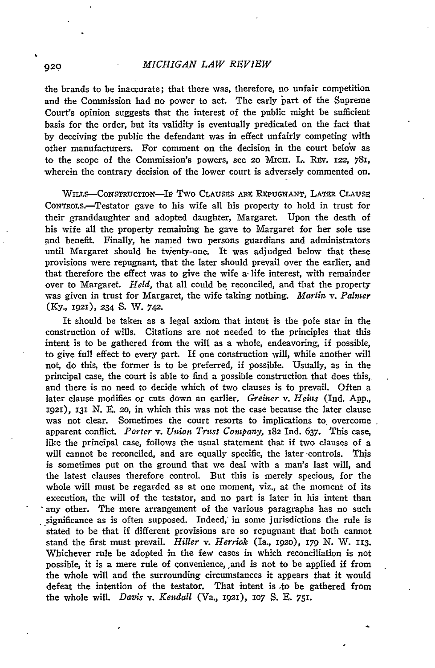the brands to be inaccurate; that there was, therefore, no unfair competition and the Commission had no power to act. The early part of the Supreme Court's opinion suggests that the interest of the public might be sufficient basis for the order, but its validity is eventually predicated on the fact that by deceiving the public the defendant was in effect unfairly competing with other manufacturers. For comment on the decision in the court below as to the scope of the Commission's powers, see *20* MICH. L. REY. 122, 781, wherein the contrary decision of the lower court is adversely commented on.

Wills-Construction-If Two Clauses ARE Repugnant, LATER CLAUSE CoN'tROI.S.-Testator gave to his wife all his property to hold in trust for their granddaughter and adopted daughter, Margaret. Upon the death of his wife all the property remaining he gave to Margaret for her sole use and benefit. Finally, he named two persons guardians and administrators until Margaret should be twenty-one. It was adjudged below that these provisions were repugnant, that the later should prevail over the earlier, and that therefore the effect was to give the wife a- life interest, with remainder over to Margaret. *Held,* that all could be reconciled, and that the property was given in trust for Margaret, the wife taking nothing. *Martin v. Palmer* (Ky., 1921), 234 S. W. 742.

It should be taken as a legal axiom that intent is the pole star in the construction of wills. Citations are not needed to the principles that this intent is to be gathered from the will as a whole, endeavoring, if possible, to give full effect to every part. If one construction will, while another will not, do this, the former is to be preferred, if possible. Usually, as in the principal case, the court is able to find a possible construction that does this, and there is no need to decide which of two clauses is to prevail. Often a later clause modifies or cuts down an earlier. *Greiner v. Heins* (Ind. App., 1921), 131 N. E. 20, in which this was not the case because the later clause was not clear. Sometimes the court resorts to implications to overcome apparent conflict. *Porter* v. *Union Trust Company,* 182 Ind. 637. This case, like the principal case, follows the usual statement that if two clauses of a will cannot be reconciled, and are equally specific, the later controls. This is sometimes put on the ground that we deal with a man's last will, and the latest clauses therefore control. But this is merely specious, for the whole will must be regarded as at one moment, viz., at the moment of its execution, the will of the testator, and no part is later in his intent than any other. The mere arrangement of the various paragraphs has no such significance as is often supposed. Indeed,' in some jurisdictions the rule is stated to be that if different provisions are so repugnant that both cannot stand the first must prevail. *Hiller v. Herrick* (Ia., 1920), 179 N. W. 113. Whichever rule be adopted in the few cases in which reconciliation is not possible, it is a mere rule of convenience, and is not to be applied if from the whole will and the surrounding circumstances it appears that it would defeat the intention of the testator. That intent is .to be gathered from the whole will. *Davis* v. *Kendall* (Va., 1921), 107 S. E. 751.